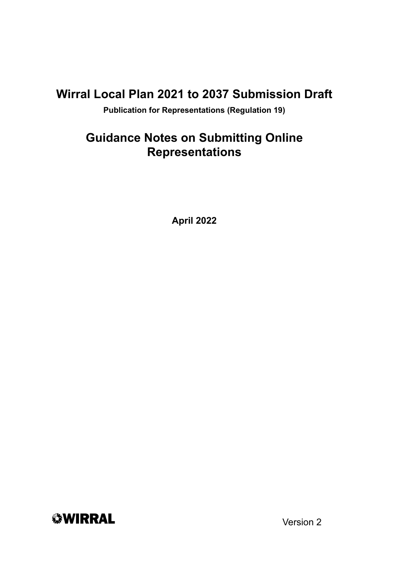### **Wirral Local Plan 2021 to 2037 Submission Draft**

**Publication for Representations (Regulation 19)**

### **Guidance Notes on Submitting Online Representations**

**April 2022**



Version 2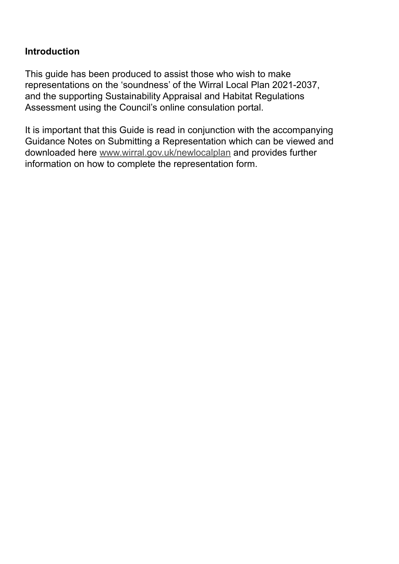#### **Introduction**

This guide has been produced to assist those who wish to make representations on the 'soundness' of the Wirral Local Plan 2021-2037, and the supporting Sustainability Appraisal and Habitat Regulations Assessment using the Council's online consulation portal.

It is important that this Guide is read in conjunction with the accompanying Guidance Notes on Submitting a Representation which can be viewed and downloaded here www.wirral.gov.uk/newlocalplan and provides further information on how to complete the representation form.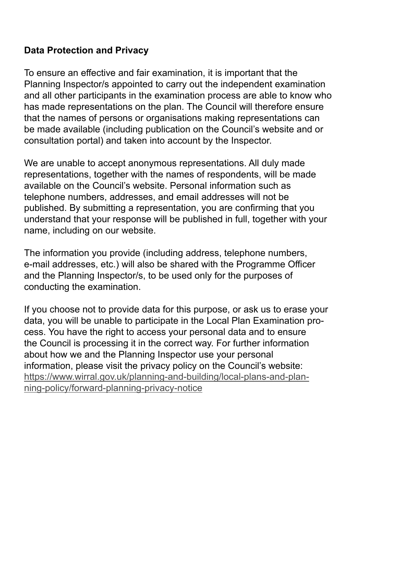#### **Data Protection and Privacy**

To ensure an effective and fair examination, it is important that the Planning Inspector/s appointed to carry out the independent examination and all other participants in the examination process are able to know who has made representations on the plan. The Council will therefore ensure that the names of persons or organisations making representations can be made available (including publication on the Council's website and or consultation portal) and taken into account by the Inspector.

We are unable to accept anonymous representations. All duly made representations, together with the names of respondents, will be made available on the Council's website. Personal information such as telephone numbers, addresses, and email addresses will not be published. By submitting a representation, you are confirming that you understand that your response will be published in full, together with your name, including on our website.

The information you provide (including address, telephone numbers, e-mail addresses, etc.) will also be shared with the Programme Officer and the Planning Inspector/s, to be used only for the purposes of conducting the examination.

If you choose not to provide data for this purpose, or ask us to erase your data, you will be unable to participate in the Local Plan Examination process. You have the right to access your personal data and to ensure the Council is processing it in the correct way. For further information about how we and the Planning Inspector use your personal information, please visit the privacy policy on the Council's website: https://www.wirral.gov.uk/planning-and-building/local-plans-and-planning-policy/forward-planning-privacy-notice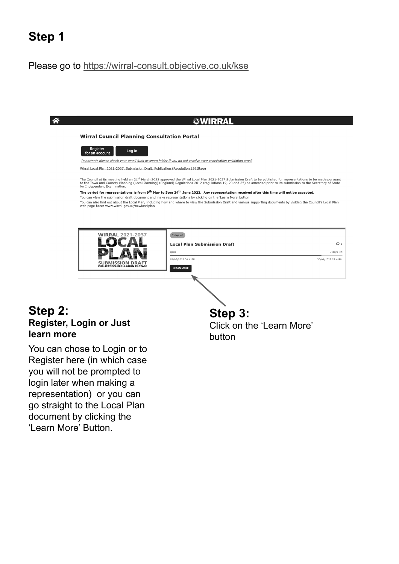## **Step 1**

#### Please go to https://wirral-consult.objective.co.uk/kse

| <b>Wirral Council Planning Consultation Portal</b>                                                                                                                                                                                                                                                                                                                                                                                                                                                                                        |                                   |  |  |
|-------------------------------------------------------------------------------------------------------------------------------------------------------------------------------------------------------------------------------------------------------------------------------------------------------------------------------------------------------------------------------------------------------------------------------------------------------------------------------------------------------------------------------------------|-----------------------------------|--|--|
|                                                                                                                                                                                                                                                                                                                                                                                                                                                                                                                                           |                                   |  |  |
| Register<br>Log in<br>for an account                                                                                                                                                                                                                                                                                                                                                                                                                                                                                                      |                                   |  |  |
| Important: please check your email junk or spam folder if you do not receive your registration validation email                                                                                                                                                                                                                                                                                                                                                                                                                           |                                   |  |  |
| Wirral Local Plan 2021-2037, Submission Draft, Publication (Regulation 19) Stage                                                                                                                                                                                                                                                                                                                                                                                                                                                          |                                   |  |  |
| to the Town and Country Planning (Local Planning) (England) Regulations 2012 (regulations 19, 20 and 35) as amended prior to its submission to the Secretary of State                                                                                                                                                                                                                                                                                                                                                                     |                                   |  |  |
| for Independent Examination.<br>The period for representations is from 9 <sup>th</sup> May to 5pm 24 <sup>th</sup> June 2022. Any representation received after this time will not be accepted.<br>You can view the submission draft document and make representations by clicking on the 'Learn More' button.<br>You can also find out about the Local Plan, including how and where to view the Submission Draft and various supporting documents by visiting the Council's Local Plan<br>web page here: www.wirral.gov.uk/newlocalplan |                                   |  |  |
| <b>WIRRAL 2021-2037</b><br>7 days left                                                                                                                                                                                                                                                                                                                                                                                                                                                                                                    |                                   |  |  |
| <b>Local Plan Submission Draft</b>                                                                                                                                                                                                                                                                                                                                                                                                                                                                                                        | $\Omega$ 2                        |  |  |
| open<br>03/03/2022 04:41PM                                                                                                                                                                                                                                                                                                                                                                                                                                                                                                                | 7 days left<br>30/04/2022 05:41PM |  |  |

#### **Step 2: Register, Login or Just learn more**

You can chose to Login or to Register here (in which case you will not be prompted to login later when making a representation) or you can go straight to the Local Plan document by clicking the 'Learn More' Button.

#### **Step 3:**

Click on the 'Learn More' button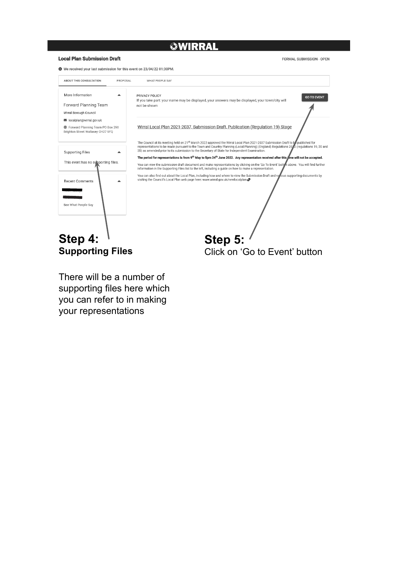#### **绿WIRRAL**

#### **Local Plan Submission Draft**

**FORMAL SUBMISSION - OPEN** 



There will be a number of supporting files here which you can refer to in making your representations

Click on 'Go to Event' button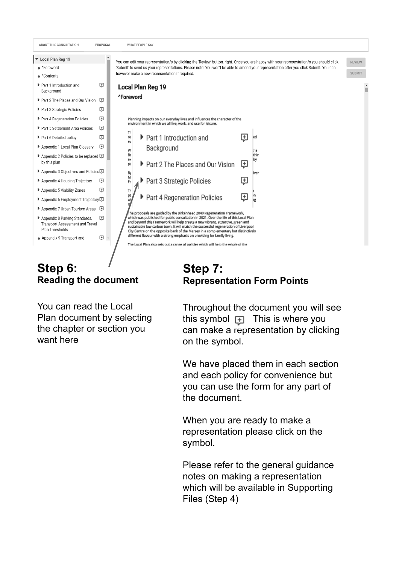

### **Step 6: Reading the document**

You can read the Local Plan document by selecting the chapter or section you want here

#### **Step 7: Representation Form Points**

Throughout the document you will see this symbol  $\Box$  This is where you can make a representation by clicking on the symbol.

We have placed them in each section and each policy for convenience but you can use the form for any part of the document.

When you are ready to make a representation please click on the symbol.

Please refer to the general guidance notes on making a representation which will be available in Supporting Files (Step 4)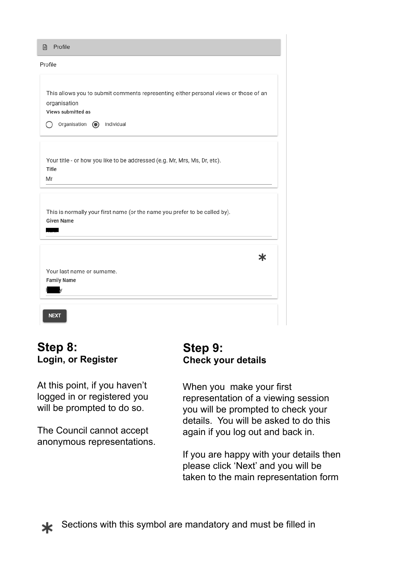| <b>日</b> Profile                                                                                                                                          |
|-----------------------------------------------------------------------------------------------------------------------------------------------------------|
| Profile                                                                                                                                                   |
| This allows you to submit comments representing either personal views or those of an<br>organisation<br>Views submitted as<br>Organisation (c) Individual |
| Your title - or how you like to be addressed (e.g. Mr, Mrs, Ms, Dr, etc).<br>Title<br>Mr                                                                  |
| This is normally your first name (or the name you prefer to be called by).<br><b>Given Name</b>                                                           |
| ж<br>Your last name or surname.<br><b>Family Name</b>                                                                                                     |
| <b>NEXT</b>                                                                                                                                               |

#### **Step 8: Login, or Register**

At this point, if you haven't logged in or registered you will be prompted to do so.

The Council cannot accept anonymous representations.

#### **Step 9: Check your details**

When you make your first representation of a viewing session you will be prompted to check your details. You will be asked to do this again if you log out and back in.

If you are happy with your details then please click 'Next' and you will be taken to the main representation form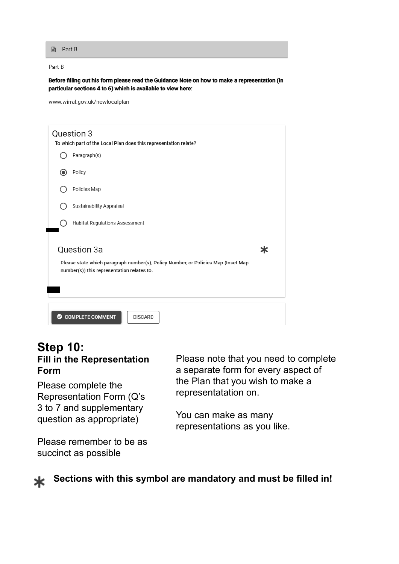**A** Part B

Part B

Before filling out his form please read the Guidance Note on how to make a representation (in particular sections 4 to 6) which is available to view here:

www.wirral.gov.uk/newlocalplan

|                                                                                                                                 | Question 3<br>To which part of the Local Plan does this representation relate? |  |  |  |
|---------------------------------------------------------------------------------------------------------------------------------|--------------------------------------------------------------------------------|--|--|--|
|                                                                                                                                 | Paragraph(s)                                                                   |  |  |  |
|                                                                                                                                 | Policy                                                                         |  |  |  |
|                                                                                                                                 | Policies Map                                                                   |  |  |  |
|                                                                                                                                 | Sustainability Appraisal                                                       |  |  |  |
|                                                                                                                                 | Habitat Regulations Assessment                                                 |  |  |  |
|                                                                                                                                 | Question 3a<br>Ж                                                               |  |  |  |
| Please state which paragraph number(s), Policy Number, or Policies Map (Inset Map<br>number(s)) this representation relates to. |                                                                                |  |  |  |
|                                                                                                                                 |                                                                                |  |  |  |
|                                                                                                                                 | COMPLETE COMMENT<br><b>DISCARD</b>                                             |  |  |  |

#### **Step 10: Fill in the Representation Form**

Please complete the Representation Form (Q's 3 to 7 and supplementary question as appropriate)

Please remember to be as succinct as possible

Please note that you need to complete a separate form for every aspect of the Plan that you wish to make a representatation on.

You can make as many representations as you like.



**Sections with this symbol are mandatory and must be filled in!**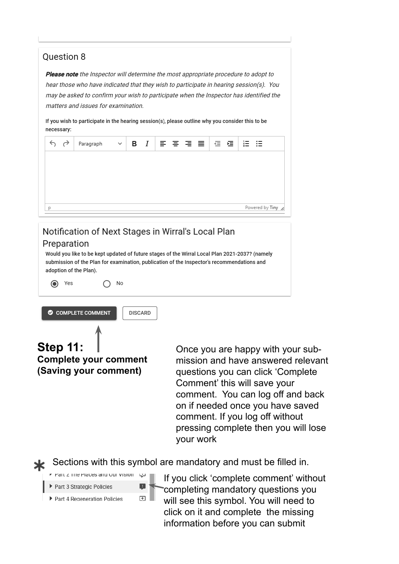#### **Ouestion 8**

Please note the Inspector will determine the most appropriate procedure to adopt to hear those who have indicated that they wish to participate in hearing session(s). You may be asked to confirm your wish to participate when the Inspector has identified the matters and issues for examination.

If you wish to participate in the hearing session(s), please outline why you consider this to be necessary:

| $\leftrightarrow$ $\leftrightarrow$ | Paragraph | $\sim$ 1 |  | B <i>I</i>   플 홈 콤 롤   @ @ |                   |
|-------------------------------------|-----------|----------|--|----------------------------|-------------------|
|                                     |           |          |  |                            |                   |
|                                     |           |          |  |                            |                   |
|                                     |           |          |  |                            |                   |
| D                                   |           |          |  |                            | Powered by Tiny / |

### Notification of Next Stages in Wirral's Local Plan

**DISCARD** 

#### Preparation

Would you like to be kept updated of future stages of the Wirral Local Plan 2021-2037? (namely submission of the Plan for examination, publication of the Inspector's recommendations and adoption of the Plan).

 $\odot$  Yes

COMPLETE COMMENT

**Step 11: Complete your comment (Saving your comment)**

 $\bigcirc$  No

Once you are happy with your submission and have answered relevant questions you can click 'Complete Comment' this will save your comment. You can log off and back on if needed once you have saved comment. If you log off without pressing complete then you will lose your work

Sections with this symbol are mandatory and must be filled in.

| F Part Z The Places and Our Vision | لىزيا |
|------------------------------------|-------|
| ▶ Part 3 Strategic Policies        | н.    |
| ▶ Part 4 Regeneration Policies     | $+$   |

If you click 'complete comment' without completing mandatory questions you will see this symbol. You will need to click on it and complete the missing information before you can submit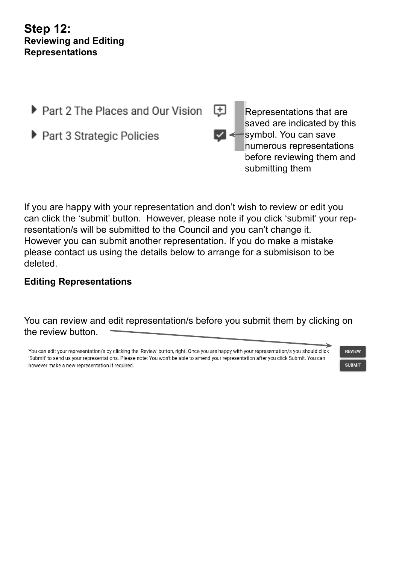#### **Step 12: Reviewing and Editing Representations**

- ▶ Part 2 The Places and Our Vision
- ▶ Part 3 Strategic Policies



Representations that are saved are indicated by this symbol. You can save numerous representations before reviewing them and submitting them

If you are happy with your representation and don't wish to review or edit you can click the 'submit' button. However, please note if you click 'submit' your representation/s will be submitted to the Council and you can't change it. However you can submit another representation. If you do make a mistake please contact us using the details below to arrange for a submisison to be deleted.

#### **Editing Representations**

You can review and edit representation/s before you submit them by clicking on the review button.

You can edit your representation/s by clicking the 'Review' button, right. Once you are happy with your representation/s you should click 'Submit' to send us your representations. Please note: You won't be able to amend your representation after you click Submit. You can however make a new representation if required.

**REVIEW** 

**SUBMIT**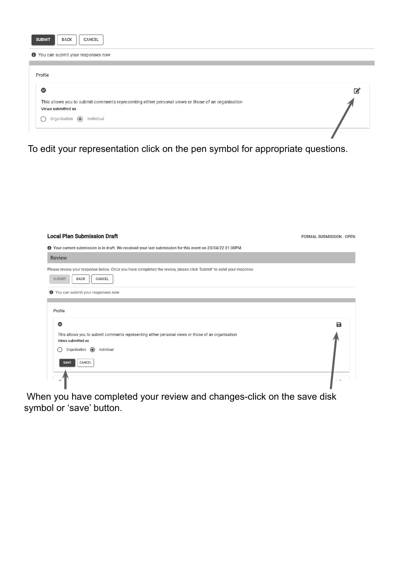| <b>BACK</b><br><b>SUBMIT</b><br>CANCEL                                                                                  |   |
|-------------------------------------------------------------------------------------------------------------------------|---|
| <b>O</b> You can submit your responses now                                                                              |   |
|                                                                                                                         |   |
| Profile                                                                                                                 |   |
| $\bullet$                                                                                                               | 它 |
| This allows you to submit comments representing either personal views or those of an organisation<br>Views submitted as |   |
| Organisation (a)<br>Individual                                                                                          |   |
|                                                                                                                         |   |

To edit your representation click on the pen symbol for appropriate questions.

| <b>Local Plan Submission Draft</b>                                                                                                                                                                         | FORMAL SUBMISSION - OPEN |
|------------------------------------------------------------------------------------------------------------------------------------------------------------------------------------------------------------|--------------------------|
| ❶ Your current submission is in draft. We received your last submission for this event on 23/04/22 01:30PM.                                                                                                |                          |
| <b>Review</b>                                                                                                                                                                                              |                          |
| Please review your response below. Once you have completed the review, please click 'Submit' to send your response.<br>CANCEL<br><b>SUBMIT</b><br><b>BACK</b>                                              |                          |
| <b>O</b> You can submit your responses now                                                                                                                                                                 |                          |
| Profile<br>$\bullet$<br>This allows you to submit comments representing either personal views or those of an organisation<br>Views submitted as<br>Organisation (a)<br>Individual<br>CANCEL<br><b>SAVE</b> | B                        |
|                                                                                                                                                                                                            |                          |

 When you have completed your review and changes-click on the save disk symbol or 'save' button.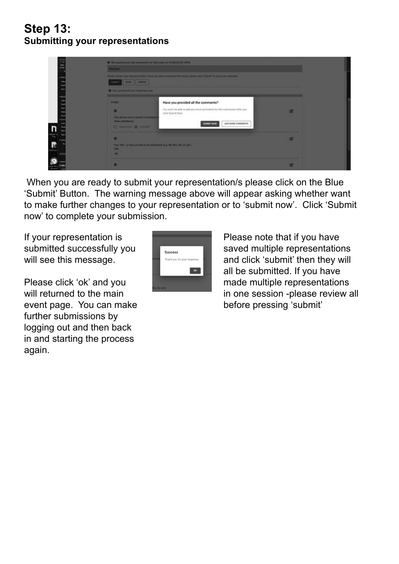### **Step 13: Submitting your representations**

| O We received your best submesses for this event on 19/04/22 06:14244.<br><b>Basseu</b>                                                                                                                                                                                                                                 |          |  |
|-------------------------------------------------------------------------------------------------------------------------------------------------------------------------------------------------------------------------------------------------------------------------------------------------------------------------|----------|--|
| Please revers your response better there are have competited the nevers pressure click Submit to send your response.<br><b>AMAR</b> CONCERN<br><b>BAAFT</b>                                                                                                                                                             |          |  |
| O Was hard submit your responses may<br>Have you provided all the comments?<br>Profile"<br>You won't be able to add any more comments for this submission after you :<br>slick Subrat Now.<br>This allows you're support passworth to<br>Views automatical<br>AND MORE COMMENTS<br><b>ARRAIT NOW</b><br>C Home of Local | $\alpha$ |  |
| Your time- on how you like to be addressed by a MIL Mrs. Ms. Dr. etc.<br><b>START OF A STATISTICS OF PARTICIPATION</b><br><b>District</b><br><b>ABC</b>                                                                                                                                                                 | m        |  |
|                                                                                                                                                                                                                                                                                                                         | $\alpha$ |  |

 When you are ready to submit your representation/s please click on the Blue 'Submit' Button. The warning message above will appear asking whether want to make further changes to your representation or to 'submit now'. Click 'Submit now' to complete your submission.

If your representation is submitted successfully you will see this message.

Please click 'ok' and you will returned to the main event page. You can make further submissions by logging out and then back in and starting the process again.



Please note that if you have saved multiple representations and click 'submit' then they will all be submitted. If you have made multiple representations in one session -please review all before pressing 'submit'